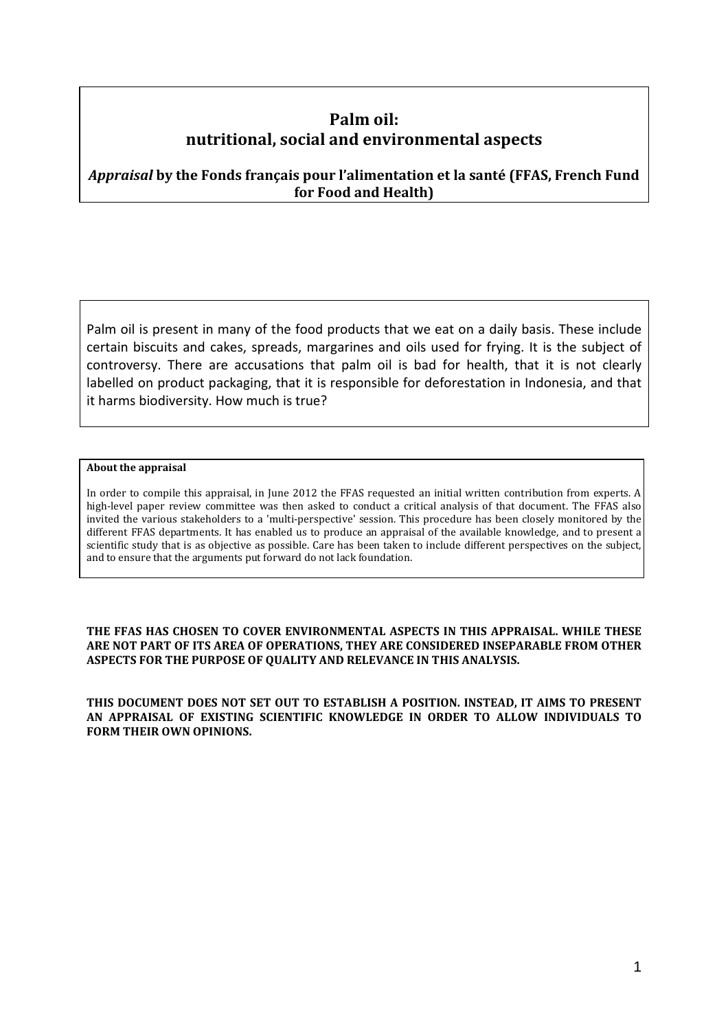# **Palm oil: nutritional, social and environmental aspects**

*Appraisal* **by the Fonds français pour l'alimentation et la santé (FFAS, French Fund for Food and Health)** 

Palm oil is present in many of the food products that we eat on a daily basis. These include certain biscuits and cakes, spreads, margarines and oils used for frying. It is the subject of controversy. There are accusations that palm oil is bad for health, that it is not clearly labelled on product packaging, that it is responsible for deforestation in Indonesia, and that it harms biodiversity. How much is true?

#### **About the appraisal**

In order to compile this appraisal, in June 2012 the FFAS requested an initial written contribution from experts. A high-level paper review committee was then asked to conduct a critical analysis of that document. The FFAS also invited the various stakeholders to a 'multi-perspective' session. This procedure has been closely monitored by the different FFAS departments. It has enabled us to produce an appraisal of the available knowledge, and to present a scientific study that is as objective as possible. Care has been taken to include different perspectives on the subject, and to ensure that the arguments put forward do not lack foundation.

**THE FFAS HAS CHOSEN TO COVER ENVIRONMENTAL ASPECTS IN THIS APPRAISAL. WHILE THESE ARE NOT PART OF ITS AREA OF OPERATIONS, THEY ARE CONSIDERED INSEPARABLE FROM OTHER ASPECTS FOR THE PURPOSE OF QUALITY AND RELEVANCE IN THIS ANALYSIS.** 

**THIS DOCUMENT DOES NOT SET OUT TO ESTABLISH A POSITION. INSTEAD, IT AIMS TO PRESENT AN APPRAISAL OF EXISTING SCIENTIFIC KNOWLEDGE IN ORDER TO ALLOW INDIVIDUALS TO FORM THEIR OWN OPINIONS.**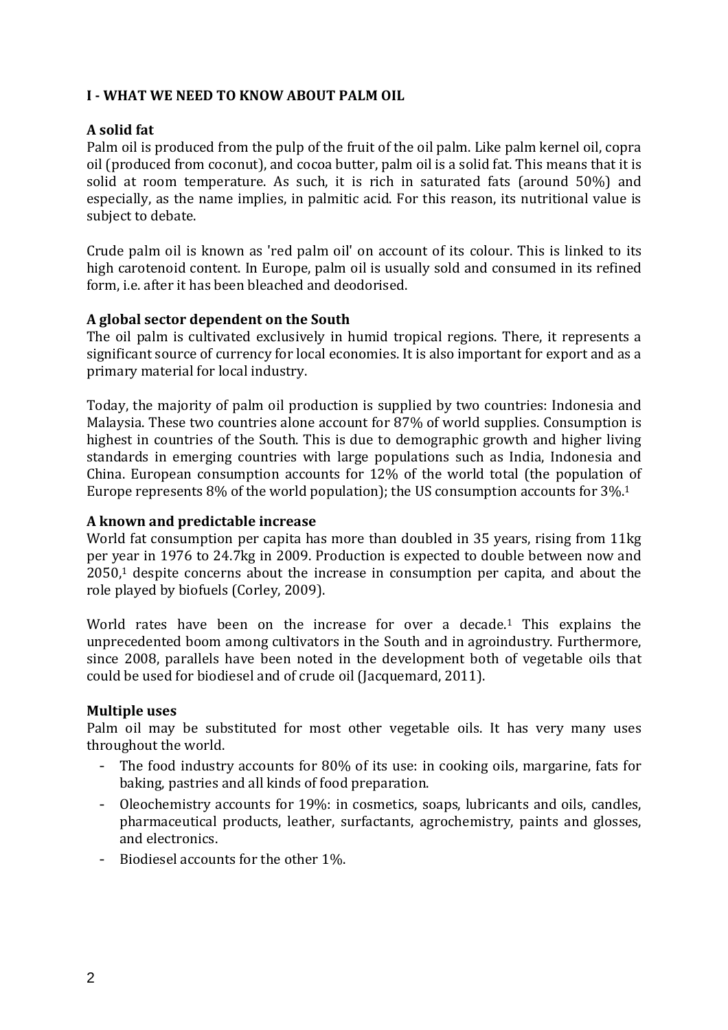### **I - WHAT WE NEED TO KNOW ABOUT PALM OIL**

# **A solid fat**

Palm oil is produced from the pulp of the fruit of the oil palm. Like palm kernel oil, copra oil (produced from coconut), and cocoa butter, palm oil is a solid fat. This means that it is solid at room temperature. As such, it is rich in saturated fats (around 50%) and especially, as the name implies, in palmitic acid. For this reason, its nutritional value is subject to debate.

Crude palm oil is known as 'red palm oil' on account of its colour. This is linked to its high carotenoid content. In Europe, palm oil is usually sold and consumed in its refined form, i.e. after it has been bleached and deodorised.

# **A global sector dependent on the South**

The oil palm is cultivated exclusively in humid tropical regions. There, it represents a significant source of currency for local economies. It is also important for export and as a primary material for local industry.

Today, the majority of palm oil production is supplied by two countries: Indonesia and Malaysia. These two countries alone account for 87% of world supplies. Consumption is highest in countries of the South. This is due to demographic growth and higher living standards in emerging countries with large populations such as India, Indonesia and China. European consumption accounts for 12% of the world total (the population of Europe represents 8% of the world population); the US consumption accounts for 3%.<sup>1</sup>

### **A known and predictable increase**

World fat consumption per capita has more than doubled in 35 years, rising from 11kg per year in 1976 to 24.7kg in 2009. Production is expected to double between now and  $2050<sup>1</sup>$  despite concerns about the increase in consumption per capita, and about the role played by biofuels (Corley, 2009).

World rates have been on the increase for over a decade.<sup>1</sup> This explains the unprecedented boom among cultivators in the South and in agroindustry. Furthermore, since 2008, parallels have been noted in the development both of vegetable oils that could be used for biodiesel and of crude oil (Jacquemard, 2011).

### **Multiple uses**

Palm oil may be substituted for most other vegetable oils. It has very many uses throughout the world.

- The food industry accounts for 80% of its use: in cooking oils, margarine, fats for baking, pastries and all kinds of food preparation.
- Oleochemistry accounts for 19%: in cosmetics, soaps, lubricants and oils, candles, pharmaceutical products, leather, surfactants, agrochemistry, paints and glosses, and electronics.
- Biodiesel accounts for the other 1%.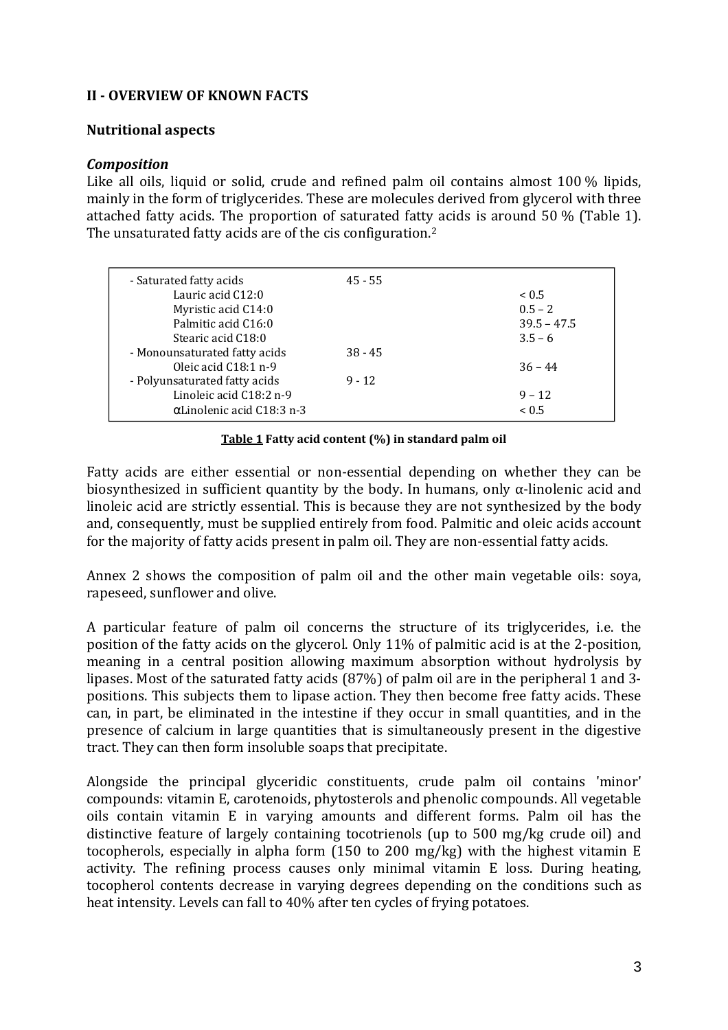### **II - OVERVIEW OF KNOWN FACTS**

#### **Nutritional aspects**

#### *Composition*

Like all oils, liquid or solid, crude and refined palm oil contains almost 100 % lipids, mainly in the form of triglycerides. These are molecules derived from glycerol with three attached fatty acids. The proportion of saturated fatty acids is around 50 % (Table 1). The unsaturated fatty acids are of the cis configuration.<sup>2</sup>

| - Saturated fatty acids           | $45 - 55$ |               |
|-----------------------------------|-----------|---------------|
| Lauric acid C12:0                 |           | ~< 0.5        |
| Myristic acid C14:0               |           | $0.5 - 2$     |
| Palmitic acid C16:0               |           | $39.5 - 47.5$ |
| Stearic acid C18:0                |           | $3.5 - 6$     |
| - Monounsaturated fatty acids     | $38 - 45$ |               |
| Oleic acid $C18:1$ n-9            |           | $36 - 44$     |
| - Polyunsaturated fatty acids     | $9 - 12$  |               |
| Linoleic acid C18:2 n-9           |           | $9 - 12$      |
| $\alpha$ Linolenic acid C18:3 n-3 |           | ~< 0.5        |

#### **Table 1 Fatty acid content (%) in standard palm oil**

Fatty acids are either essential or non-essential depending on whether they can be biosynthesized in sufficient quantity by the body. In humans, only  $\alpha$ -linolenic acid and linoleic acid are strictly essential. This is because they are not synthesized by the body and, consequently, must be supplied entirely from food. Palmitic and oleic acids account for the majority of fatty acids present in palm oil. They are non-essential fatty acids.

Annex 2 shows the composition of palm oil and the other main vegetable oils: soya, rapeseed, sunflower and olive.

A particular feature of palm oil concerns the structure of its triglycerides, i.e. the position of the fatty acids on the glycerol. Only 11% of palmitic acid is at the 2-position, meaning in a central position allowing maximum absorption without hydrolysis by lipases. Most of the saturated fatty acids (87%) of palm oil are in the peripheral 1 and 3 positions. This subjects them to lipase action. They then become free fatty acids. These can, in part, be eliminated in the intestine if they occur in small quantities, and in the presence of calcium in large quantities that is simultaneously present in the digestive tract. They can then form insoluble soaps that precipitate.

Alongside the principal glyceridic constituents, crude palm oil contains 'minor' compounds: vitamin E, carotenoids, phytosterols and phenolic compounds. All vegetable oils contain vitamin E in varying amounts and different forms. Palm oil has the distinctive feature of largely containing tocotrienols (up to 500 mg/kg crude oil) and tocopherols, especially in alpha form (150 to 200 mg/kg) with the highest vitamin E activity. The refining process causes only minimal vitamin E loss. During heating, tocopherol contents decrease in varying degrees depending on the conditions such as heat intensity. Levels can fall to 40% after ten cycles of frying potatoes.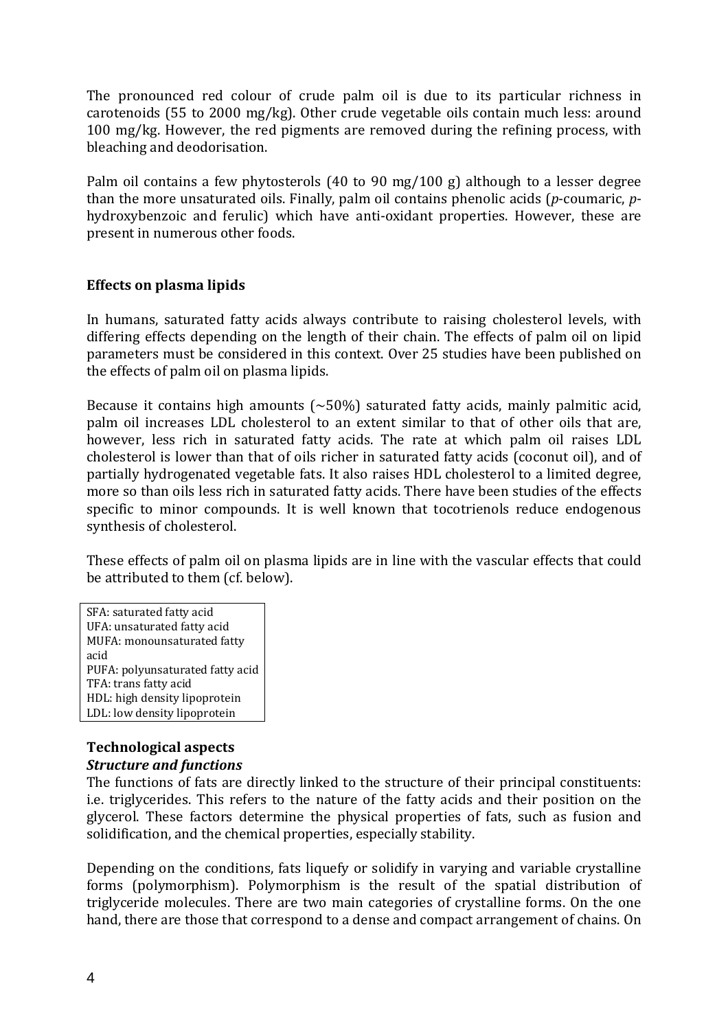The pronounced red colour of crude palm oil is due to its particular richness in carotenoids (55 to 2000 mg/kg). Other crude vegetable oils contain much less: around 100 mg/kg. However, the red pigments are removed during the refining process, with bleaching and deodorisation.

Palm oil contains a few phytosterols (40 to 90 mg/100 g) although to a lesser degree than the more unsaturated oils. Finally, palm oil contains phenolic acids (*p*-coumaric, *p*hydroxybenzoic and ferulic) which have anti-oxidant properties. However, these are present in numerous other foods.

### **Effects on plasma lipids**

In humans, saturated fatty acids always contribute to raising cholesterol levels, with differing effects depending on the length of their chain. The effects of palm oil on lipid parameters must be considered in this context. Over 25 studies have been published on the effects of palm oil on plasma lipids.

Because it contains high amounts  $(\sim 50\%)$  saturated fatty acids, mainly palmitic acid, palm oil increases LDL cholesterol to an extent similar to that of other oils that are, however, less rich in saturated fatty acids. The rate at which palm oil raises LDL cholesterol is lower than that of oils richer in saturated fatty acids (coconut oil), and of partially hydrogenated vegetable fats. It also raises HDL cholesterol to a limited degree, more so than oils less rich in saturated fatty acids. There have been studies of the effects specific to minor compounds. It is well known that tocotrienols reduce endogenous synthesis of cholesterol.

These effects of palm oil on plasma lipids are in line with the vascular effects that could be attributed to them (cf. below).

SFA: saturated fatty acid UFA: unsaturated fatty acid MUFA: monounsaturated fatty acid PUFA: polyunsaturated fatty acid TFA: trans fatty acid HDL: high density lipoprotein LDL: low density lipoprotein

# **Technological aspects** *Structure and functions*

The functions of fats are directly linked to the structure of their principal constituents: i.e. triglycerides. This refers to the nature of the fatty acids and their position on the glycerol. These factors determine the physical properties of fats, such as fusion and solidification, and the chemical properties, especially stability.

Depending on the conditions, fats liquefy or solidify in varying and variable crystalline forms (polymorphism). Polymorphism is the result of the spatial distribution of triglyceride molecules. There are two main categories of crystalline forms. On the one hand, there are those that correspond to a dense and compact arrangement of chains. On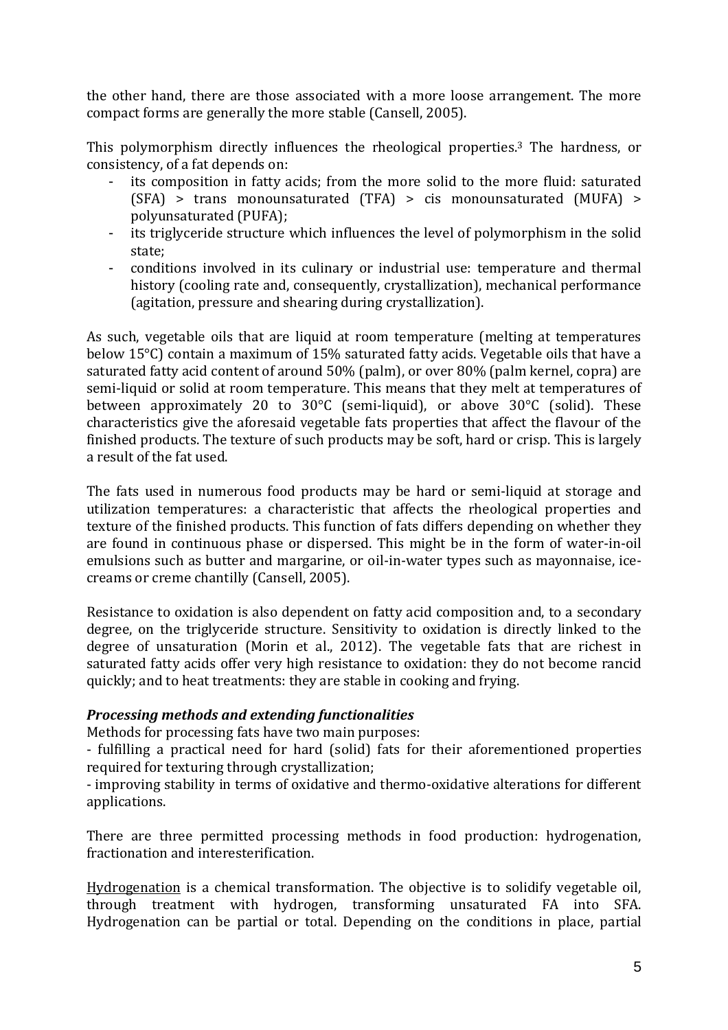the other hand, there are those associated with a more loose arrangement. The more compact forms are generally the more stable (Cansell, 2005).

This polymorphism directly influences the rheological properties.3 The hardness, or consistency, of a fat depends on:

- its composition in fatty acids; from the more solid to the more fluid: saturated (SFA) > trans monounsaturated (TFA) > cis monounsaturated (MUFA) > polyunsaturated (PUFA);
- its triglyceride structure which influences the level of polymorphism in the solid state;
- conditions involved in its culinary or industrial use: temperature and thermal history (cooling rate and, consequently, crystallization), mechanical performance (agitation, pressure and shearing during crystallization).

As such, vegetable oils that are liquid at room temperature (melting at temperatures below 15°C) contain a maximum of 15% saturated fatty acids. Vegetable oils that have a saturated fatty acid content of around 50% (palm), or over 80% (palm kernel, copra) are semi-liquid or solid at room temperature. This means that they melt at temperatures of between approximately 20 to 30°C (semi-liquid), or above 30°C (solid). These characteristics give the aforesaid vegetable fats properties that affect the flavour of the finished products. The texture of such products may be soft, hard or crisp. This is largely a result of the fat used.

The fats used in numerous food products may be hard or semi-liquid at storage and utilization temperatures: a characteristic that affects the rheological properties and texture of the finished products. This function of fats differs depending on whether they are found in continuous phase or dispersed. This might be in the form of water-in-oil emulsions such as butter and margarine, or oil-in-water types such as mayonnaise, icecreams or creme chantilly (Cansell, 2005).

Resistance to oxidation is also dependent on fatty acid composition and, to a secondary degree, on the triglyceride structure. Sensitivity to oxidation is directly linked to the degree of unsaturation (Morin et al., 2012). The vegetable fats that are richest in saturated fatty acids offer very high resistance to oxidation: they do not become rancid quickly; and to heat treatments: they are stable in cooking and frying.

### *Processing methods and extending functionalities*

Methods for processing fats have two main purposes:

- fulfilling a practical need for hard (solid) fats for their aforementioned properties required for texturing through crystallization;

- improving stability in terms of oxidative and thermo-oxidative alterations for different applications.

There are three permitted processing methods in food production: hydrogenation, fractionation and interesterification.

Hydrogenation is a chemical transformation. The objective is to solidify vegetable oil, through treatment with hydrogen, transforming unsaturated FA into SFA. Hydrogenation can be partial or total. Depending on the conditions in place, partial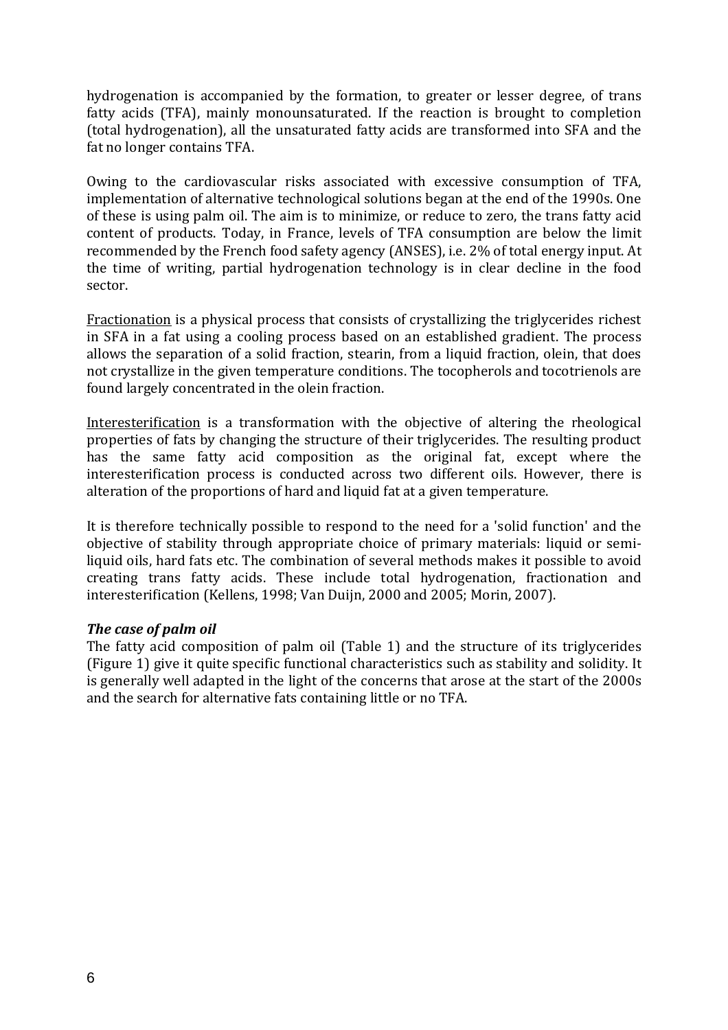hydrogenation is accompanied by the formation, to greater or lesser degree, of trans fatty acids (TFA), mainly monounsaturated. If the reaction is brought to completion (total hydrogenation), all the unsaturated fatty acids are transformed into SFA and the fat no longer contains TFA.

Owing to the cardiovascular risks associated with excessive consumption of TFA, implementation of alternative technological solutions began at the end of the 1990s. One of these is using palm oil. The aim is to minimize, or reduce to zero, the trans fatty acid content of products. Today, in France, levels of TFA consumption are below the limit recommended by the French food safety agency (ANSES), i.e. 2% of total energy input. At the time of writing, partial hydrogenation technology is in clear decline in the food sector.

Fractionation is a physical process that consists of crystallizing the triglycerides richest in SFA in a fat using a cooling process based on an established gradient. The process allows the separation of a solid fraction, stearin, from a liquid fraction, olein, that does not crystallize in the given temperature conditions. The tocopherols and tocotrienols are found largely concentrated in the olein fraction.

Interesterification is a transformation with the objective of altering the rheological properties of fats by changing the structure of their triglycerides. The resulting product has the same fatty acid composition as the original fat, except where the interesterification process is conducted across two different oils. However, there is alteration of the proportions of hard and liquid fat at a given temperature.

It is therefore technically possible to respond to the need for a 'solid function' and the objective of stability through appropriate choice of primary materials: liquid or semiliquid oils, hard fats etc. The combination of several methods makes it possible to avoid creating trans fatty acids. These include total hydrogenation, fractionation and interesterification (Kellens, 1998; Van Duijn, 2000 and 2005; Morin, 2007).

### *The case of palm oil*

The fatty acid composition of palm oil (Table 1) and the structure of its triglycerides (Figure 1) give it quite specific functional characteristics such as stability and solidity. It is generally well adapted in the light of the concerns that arose at the start of the 2000s and the search for alternative fats containing little or no TFA.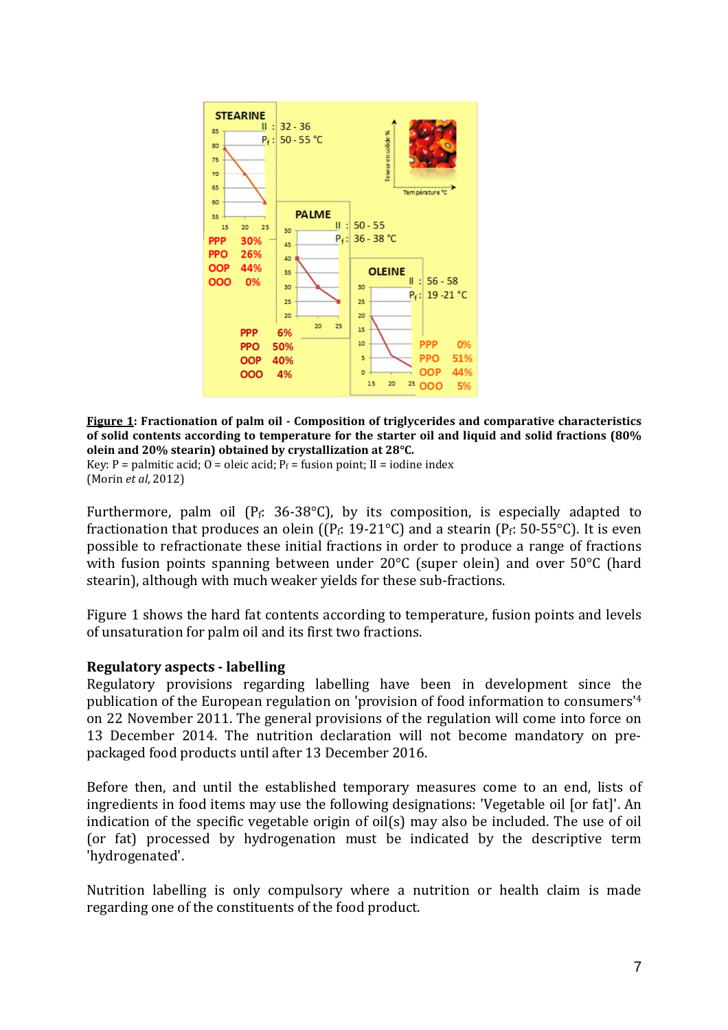

**Figure 1: Fractionation of palm oil - Composition of triglycerides and comparative characteristics of solid contents according to temperature for the starter oil and liquid and solid fractions (80% olein and 20% stearin) obtained by crystallization at 28°C.**

Key: P = palmitic acid; O = oleic acid;  $P_f$  = fusion point; II = iodine index (Morin *et al*, 2012)

Furthermore, palm oil ( $P_f$ : 36-38 $^{\circ}$ C), by its composition, is especially adapted to fractionation that produces an olein ( $(P_f: 19-21^{\circ}C)$  and a stearin ( $P_f: 50-55^{\circ}C$ ). It is even possible to refractionate these initial fractions in order to produce a range of fractions with fusion points spanning between under 20<sup>o</sup>C (super olein) and over 50<sup>o</sup>C (hard stearin), although with much weaker yields for these sub-fractions.

Figure 1 shows the hard fat contents according to temperature, fusion points and levels of unsaturation for palm oil and its first two fractions.

### **Regulatory aspects - labelling**

Regulatory provisions regarding labelling have been in development since the publication of the European regulation on 'provision of food information to consumers'<sup>4</sup> on 22 November 2011. The general provisions of the regulation will come into force on 13 December 2014. The nutrition declaration will not become mandatory on prepackaged food products until after 13 December 2016.

Before then, and until the established temporary measures come to an end, lists of ingredients in food items may use the following designations: 'Vegetable oil [or fat]'. An indication of the specific vegetable origin of oil(s) may also be included. The use of oil (or fat) processed by hydrogenation must be indicated by the descriptive term 'hydrogenated'.

Nutrition labelling is only compulsory where a nutrition or health claim is made regarding one of the constituents of the food product.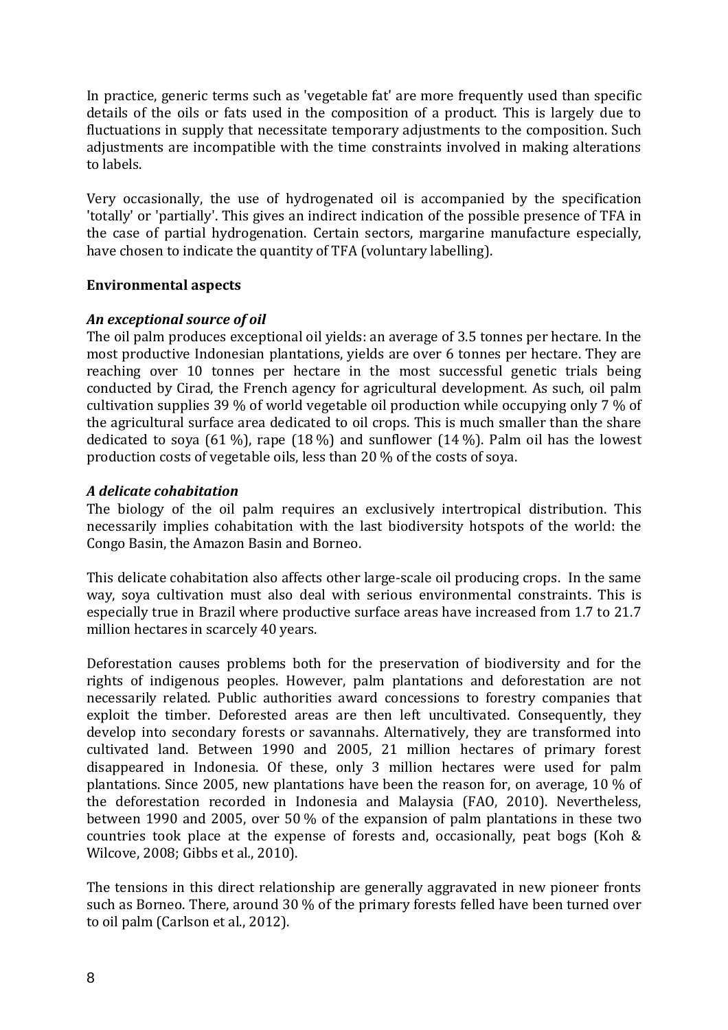In practice, generic terms such as 'vegetable fat' are more frequently used than specific details of the oils or fats used in the composition of a product. This is largely due to fluctuations in supply that necessitate temporary adjustments to the composition. Such adjustments are incompatible with the time constraints involved in making alterations to labels.

Very occasionally, the use of hydrogenated oil is accompanied by the specification 'totally' or 'partially'. This gives an indirect indication of the possible presence of TFA in the case of partial hydrogenation. Certain sectors, margarine manufacture especially, have chosen to indicate the quantity of TFA (voluntary labelling).

### **Environmental aspects**

# *An exceptional source of oil*

The oil palm produces exceptional oil yields: an average of 3.5 tonnes per hectare. In the most productive Indonesian plantations, yields are over 6 tonnes per hectare. They are reaching over 10 tonnes per hectare in the most successful genetic trials being conducted by Cirad, the French agency for agricultural development. As such, oil palm cultivation supplies 39 % of world vegetable oil production while occupying only 7 % of the agricultural surface area dedicated to oil crops. This is much smaller than the share dedicated to soya (61 %), rape (18 %) and sunflower (14 %). Palm oil has the lowest production costs of vegetable oils, less than 20 % of the costs of soya.

# *A delicate cohabitation*

The biology of the oil palm requires an exclusively intertropical distribution. This necessarily implies cohabitation with the last biodiversity hotspots of the world: the Congo Basin, the Amazon Basin and Borneo.

This delicate cohabitation also affects other large-scale oil producing crops. In the same way, soya cultivation must also deal with serious environmental constraints. This is especially true in Brazil where productive surface areas have increased from 1.7 to 21.7 million hectares in scarcely 40 years.

Deforestation causes problems both for the preservation of biodiversity and for the rights of indigenous peoples. However, palm plantations and deforestation are not necessarily related. Public authorities award concessions to forestry companies that exploit the timber. Deforested areas are then left uncultivated. Consequently, they develop into secondary forests or savannahs. Alternatively, they are transformed into cultivated land. Between 1990 and 2005, 21 million hectares of primary forest disappeared in Indonesia. Of these, only 3 million hectares were used for palm plantations. Since 2005, new plantations have been the reason for, on average, 10 % of the deforestation recorded in Indonesia and Malaysia (FAO, 2010). Nevertheless, between 1990 and 2005, over 50 % of the expansion of palm plantations in these two countries took place at the expense of forests and, occasionally, peat bogs (Koh & Wilcove, 2008; Gibbs et al*.*, 2010).

The tensions in this direct relationship are generally aggravated in new pioneer fronts such as Borneo. There, around 30 % of the primary forests felled have been turned over to oil palm (Carlson et al., 2012).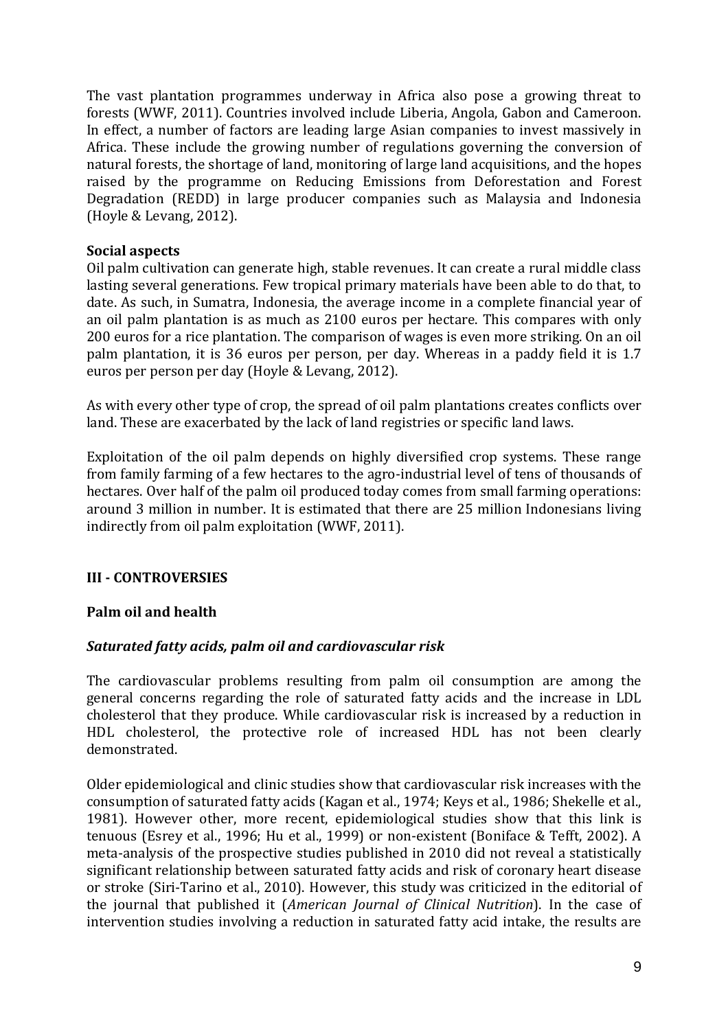The vast plantation programmes underway in Africa also pose a growing threat to forests (WWF, 2011). Countries involved include Liberia, Angola, Gabon and Cameroon. In effect, a number of factors are leading large Asian companies to invest massively in Africa. These include the growing number of regulations governing the conversion of natural forests, the shortage of land, monitoring of large land acquisitions, and the hopes raised by the programme on Reducing Emissions from Deforestation and Forest Degradation (REDD) in large producer companies such as Malaysia and Indonesia (Hoyle & Levang, 2012).

### **Social aspects**

Oil palm cultivation can generate high, stable revenues. It can create a rural middle class lasting several generations. Few tropical primary materials have been able to do that, to date. As such, in Sumatra, Indonesia, the average income in a complete financial year of an oil palm plantation is as much as 2100 euros per hectare. This compares with only 200 euros for a rice plantation. The comparison of wages is even more striking. On an oil palm plantation, it is 36 euros per person, per day. Whereas in a paddy field it is 1.7 euros per person per day (Hoyle & Levang, 2012).

As with every other type of crop, the spread of oil palm plantations creates conflicts over land. These are exacerbated by the lack of land registries or specific land laws.

Exploitation of the oil palm depends on highly diversified crop systems. These range from family farming of a few hectares to the agro-industrial level of tens of thousands of hectares. Over half of the palm oil produced today comes from small farming operations: around 3 million in number. It is estimated that there are 25 million Indonesians living indirectly from oil palm exploitation (WWF, 2011).

### **III - CONTROVERSIES**

### **Palm oil and health**

### *Saturated fatty acids, palm oil and cardiovascular risk*

The cardiovascular problems resulting from palm oil consumption are among the general concerns regarding the role of saturated fatty acids and the increase in LDL cholesterol that they produce. While cardiovascular risk is increased by a reduction in HDL cholesterol, the protective role of increased HDL has not been clearly demonstrated.

Older epidemiological and clinic studies show that cardiovascular risk increases with the consumption of saturated fatty acids (Kagan et al., 1974; Keys et al., 1986; Shekelle et al., 1981). However other, more recent, epidemiological studies show that this link is tenuous (Esrey et al., 1996; Hu et al., 1999) or non-existent (Boniface & Tefft, 2002). A meta-analysis of the prospective studies published in 2010 did not reveal a statistically significant relationship between saturated fatty acids and risk of coronary heart disease or stroke (Siri-Tarino et al., 2010). However, this study was criticized in the editorial of the journal that published it (*American Journal of Clinical Nutrition*). In the case of intervention studies involving a reduction in saturated fatty acid intake, the results are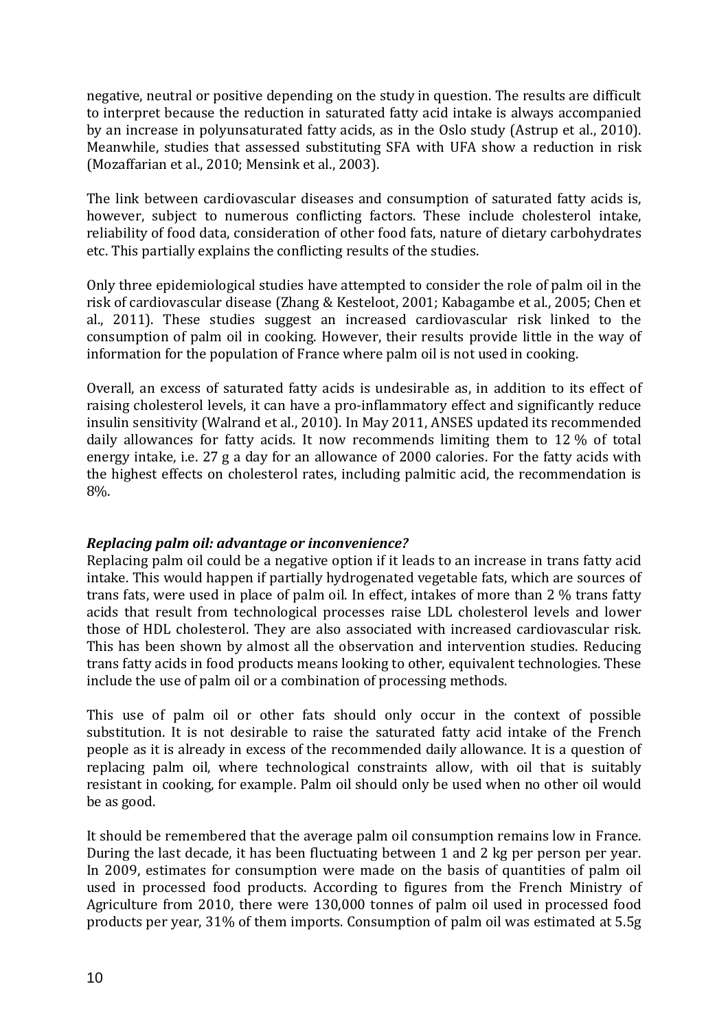negative, neutral or positive depending on the study in question. The results are difficult to interpret because the reduction in saturated fatty acid intake is always accompanied by an increase in polyunsaturated fatty acids, as in the Oslo study (Astrup et al., 2010). Meanwhile, studies that assessed substituting SFA with UFA show a reduction in risk (Mozaffarian et al., 2010; Mensink et al., 2003).

The link between cardiovascular diseases and consumption of saturated fatty acids is, however, subject to numerous conflicting factors. These include cholesterol intake, reliability of food data, consideration of other food fats, nature of dietary carbohydrates etc. This partially explains the conflicting results of the studies.

Only three epidemiological studies have attempted to consider the role of palm oil in the risk of cardiovascular disease (Zhang & Kesteloot, 2001; Kabagambe et al., 2005; Chen et al., 2011). These studies suggest an increased cardiovascular risk linked to the consumption of palm oil in cooking. However, their results provide little in the way of information for the population of France where palm oil is not used in cooking.

Overall, an excess of saturated fatty acids is undesirable as, in addition to its effect of raising cholesterol levels, it can have a pro-inflammatory effect and significantly reduce insulin sensitivity (Walrand et al*.*, 2010). In May 2011, ANSES updated its recommended daily allowances for fatty acids. It now recommends limiting them to 12 % of total energy intake, i.e. 27 g a day for an allowance of 2000 calories. For the fatty acids with the highest effects on cholesterol rates, including palmitic acid, the recommendation is 8%.

### *Replacing palm oil: advantage or inconvenience?*

Replacing palm oil could be a negative option if it leads to an increase in trans fatty acid intake. This would happen if partially hydrogenated vegetable fats, which are sources of trans fats, were used in place of palm oil. In effect, intakes of more than 2 % trans fatty acids that result from technological processes raise LDL cholesterol levels and lower those of HDL cholesterol. They are also associated with increased cardiovascular risk. This has been shown by almost all the observation and intervention studies. Reducing trans fatty acids in food products means looking to other, equivalent technologies. These include the use of palm oil or a combination of processing methods.

This use of palm oil or other fats should only occur in the context of possible substitution. It is not desirable to raise the saturated fatty acid intake of the French people as it is already in excess of the recommended daily allowance. It is a question of replacing palm oil, where technological constraints allow, with oil that is suitably resistant in cooking, for example. Palm oil should only be used when no other oil would be as good.

It should be remembered that the average palm oil consumption remains low in France. During the last decade, it has been fluctuating between 1 and 2 kg per person per year. In 2009, estimates for consumption were made on the basis of quantities of palm oil used in processed food products. According to figures from the French Ministry of Agriculture from 2010, there were 130,000 tonnes of palm oil used in processed food products per year, 31% of them imports. Consumption of palm oil was estimated at 5.5g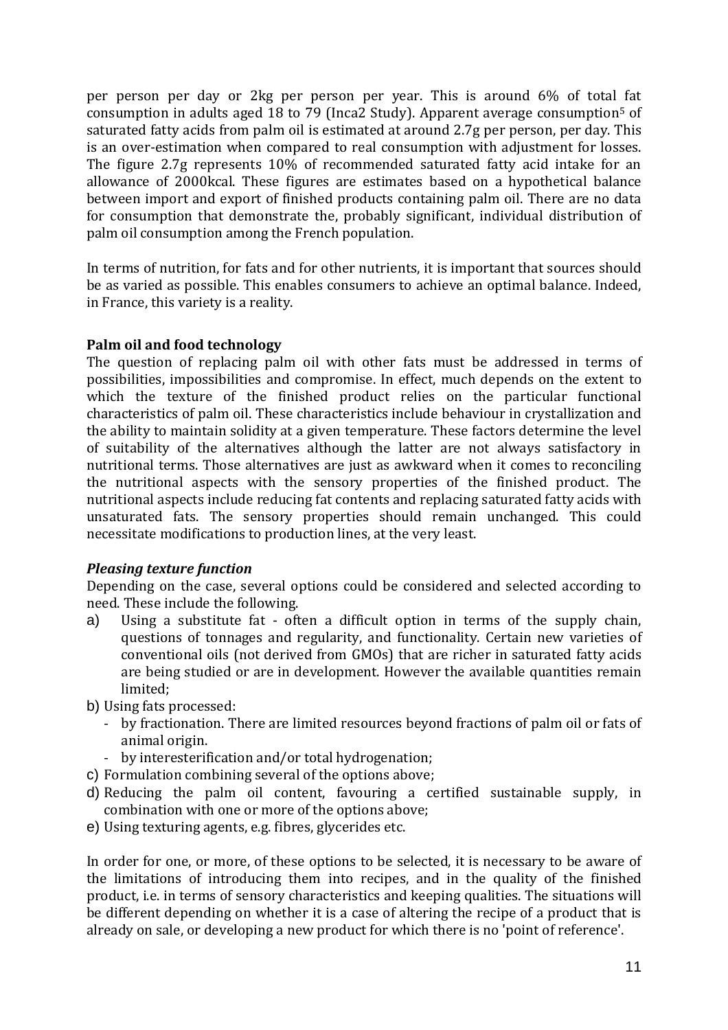per person per day or 2kg per person per year. This is around 6% of total fat consumption in adults aged 18 to 79 (Inca2 Study). Apparent average consumption5 of saturated fatty acids from palm oil is estimated at around 2.7g per person, per day. This is an over-estimation when compared to real consumption with adjustment for losses. The figure 2.7g represents 10% of recommended saturated fatty acid intake for an allowance of 2000kcal. These figures are estimates based on a hypothetical balance between import and export of finished products containing palm oil. There are no data for consumption that demonstrate the, probably significant, individual distribution of palm oil consumption among the French population.

In terms of nutrition, for fats and for other nutrients, it is important that sources should be as varied as possible. This enables consumers to achieve an optimal balance. Indeed, in France, this variety is a reality.

### **Palm oil and food technology**

The question of replacing palm oil with other fats must be addressed in terms of possibilities, impossibilities and compromise. In effect, much depends on the extent to which the texture of the finished product relies on the particular functional characteristics of palm oil. These characteristics include behaviour in crystallization and the ability to maintain solidity at a given temperature. These factors determine the level of suitability of the alternatives although the latter are not always satisfactory in nutritional terms. Those alternatives are just as awkward when it comes to reconciling the nutritional aspects with the sensory properties of the finished product. The nutritional aspects include reducing fat contents and replacing saturated fatty acids with unsaturated fats. The sensory properties should remain unchanged. This could necessitate modifications to production lines, at the very least.

### *Pleasing texture function*

Depending on the case, several options could be considered and selected according to need. These include the following.

- a) Using a substitute fat often a difficult option in terms of the supply chain, questions of tonnages and regularity, and functionality. Certain new varieties of conventional oils (not derived from GMOs) that are richer in saturated fatty acids are being studied or are in development. However the available quantities remain limited;
- b) Using fats processed:
	- by fractionation. There are limited resources beyond fractions of palm oil or fats of animal origin.
	- by interesterification and/or total hydrogenation;
- c) Formulation combining several of the options above;
- d) Reducing the palm oil content, favouring a certified sustainable supply, in combination with one or more of the options above;
- e) Using texturing agents, e.g. fibres, glycerides etc.

In order for one, or more, of these options to be selected, it is necessary to be aware of the limitations of introducing them into recipes, and in the quality of the finished product, i.e. in terms of sensory characteristics and keeping qualities. The situations will be different depending on whether it is a case of altering the recipe of a product that is already on sale, or developing a new product for which there is no 'point of reference'.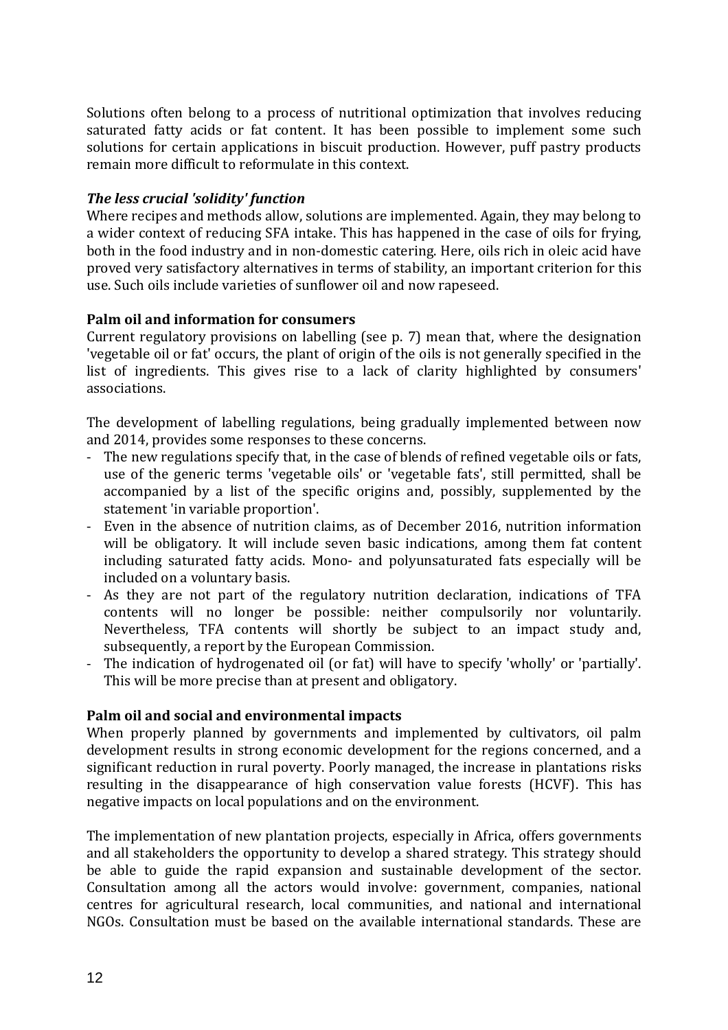Solutions often belong to a process of nutritional optimization that involves reducing saturated fatty acids or fat content. It has been possible to implement some such solutions for certain applications in biscuit production. However, puff pastry products remain more difficult to reformulate in this context.

# *The less crucial 'solidity' function*

Where recipes and methods allow, solutions are implemented. Again, they may belong to a wider context of reducing SFA intake. This has happened in the case of oils for frying, both in the food industry and in non-domestic catering. Here, oils rich in oleic acid have proved very satisfactory alternatives in terms of stability, an important criterion for this use. Such oils include varieties of sunflower oil and now rapeseed.

# **Palm oil and information for consumers**

Current regulatory provisions on labelling (see p. 7) mean that, where the designation 'vegetable oil or fat' occurs, the plant of origin of the oils is not generally specified in the list of ingredients. This gives rise to a lack of clarity highlighted by consumers' associations.

The development of labelling regulations, being gradually implemented between now and 2014, provides some responses to these concerns.

- The new regulations specify that, in the case of blends of refined vegetable oils or fats, use of the generic terms 'vegetable oils' or 'vegetable fats', still permitted, shall be accompanied by a list of the specific origins and, possibly, supplemented by the statement 'in variable proportion'.
- Even in the absence of nutrition claims, as of December 2016, nutrition information will be obligatory. It will include seven basic indications, among them fat content including saturated fatty acids. Mono- and polyunsaturated fats especially will be included on a voluntary basis.
- As they are not part of the regulatory nutrition declaration, indications of TFA contents will no longer be possible: neither compulsorily nor voluntarily. Nevertheless, TFA contents will shortly be subject to an impact study and, subsequently, a report by the European Commission.
- The indication of hydrogenated oil (or fat) will have to specify 'wholly' or 'partially'. This will be more precise than at present and obligatory.

### **Palm oil and social and environmental impacts**

When properly planned by governments and implemented by cultivators, oil palm development results in strong economic development for the regions concerned, and a significant reduction in rural poverty. Poorly managed, the increase in plantations risks resulting in the disappearance of high conservation value forests (HCVF). This has negative impacts on local populations and on the environment.

The implementation of new plantation projects, especially in Africa, offers governments and all stakeholders the opportunity to develop a shared strategy. This strategy should be able to guide the rapid expansion and sustainable development of the sector. Consultation among all the actors would involve: government, companies, national centres for agricultural research, local communities, and national and international NGOs. Consultation must be based on the available international standards. These are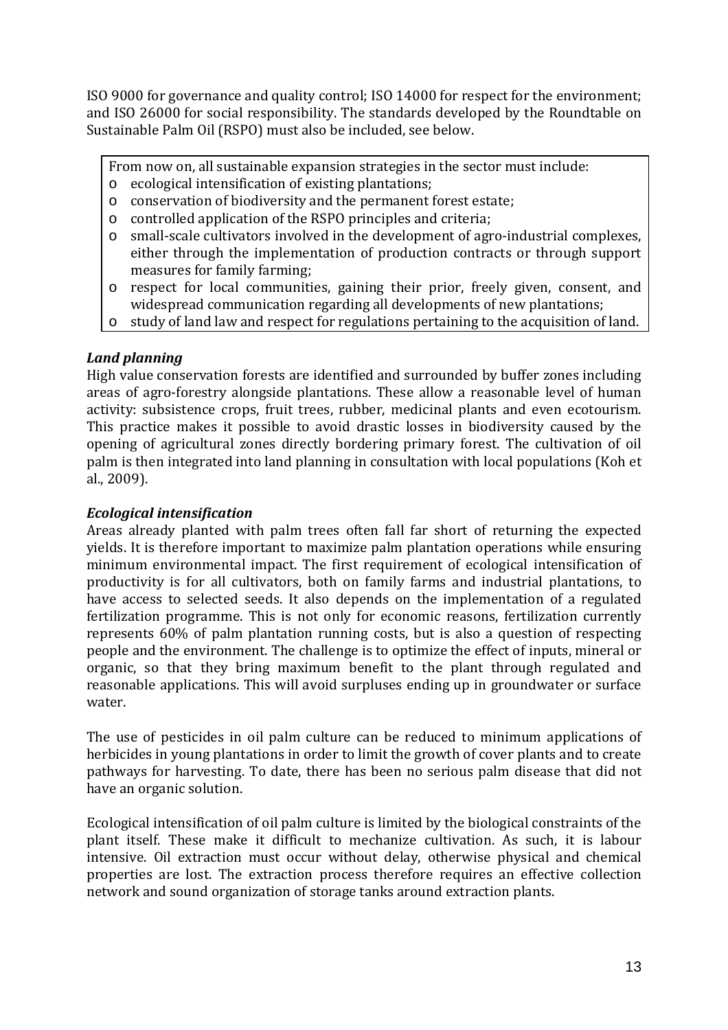ISO 9000 for governance and quality control; ISO 14000 for respect for the environment; and ISO 26000 for social responsibility. The standards developed by the Roundtable on Sustainable Palm Oil (RSPO) must also be included, see below.

From now on, all sustainable expansion strategies in the sector must include:

- o ecological intensification of existing plantations;
- o conservation of biodiversity and the permanent forest estate;
- o controlled application of the RSPO principles and criteria;
- o small-scale cultivators involved in the development of agro-industrial complexes, either through the implementation of production contracts or through support measures for family farming;
- o respect for local communities, gaining their prior, freely given, consent, and widespread communication regarding all developments of new plantations;
- o study of land law and respect for regulations pertaining to the acquisition of land.

# *Land planning*

High value conservation forests are identified and surrounded by buffer zones including areas of agro-forestry alongside plantations. These allow a reasonable level of human activity: subsistence crops, fruit trees, rubber, medicinal plants and even ecotourism. This practice makes it possible to avoid drastic losses in biodiversity caused by the opening of agricultural zones directly bordering primary forest. The cultivation of oil palm is then integrated into land planning in consultation with local populations (Koh et al., 2009).

### *Ecological intensification*

Areas already planted with palm trees often fall far short of returning the expected yields. It is therefore important to maximize palm plantation operations while ensuring minimum environmental impact. The first requirement of ecological intensification of productivity is for all cultivators, both on family farms and industrial plantations, to have access to selected seeds. It also depends on the implementation of a regulated fertilization programme. This is not only for economic reasons, fertilization currently represents 60% of palm plantation running costs, but is also a question of respecting people and the environment. The challenge is to optimize the effect of inputs, mineral or organic, so that they bring maximum benefit to the plant through regulated and reasonable applications. This will avoid surpluses ending up in groundwater or surface water.

The use of pesticides in oil palm culture can be reduced to minimum applications of herbicides in young plantations in order to limit the growth of cover plants and to create pathways for harvesting. To date, there has been no serious palm disease that did not have an organic solution.

Ecological intensification of oil palm culture is limited by the biological constraints of the plant itself. These make it difficult to mechanize cultivation. As such, it is labour intensive. Oil extraction must occur without delay, otherwise physical and chemical properties are lost. The extraction process therefore requires an effective collection network and sound organization of storage tanks around extraction plants.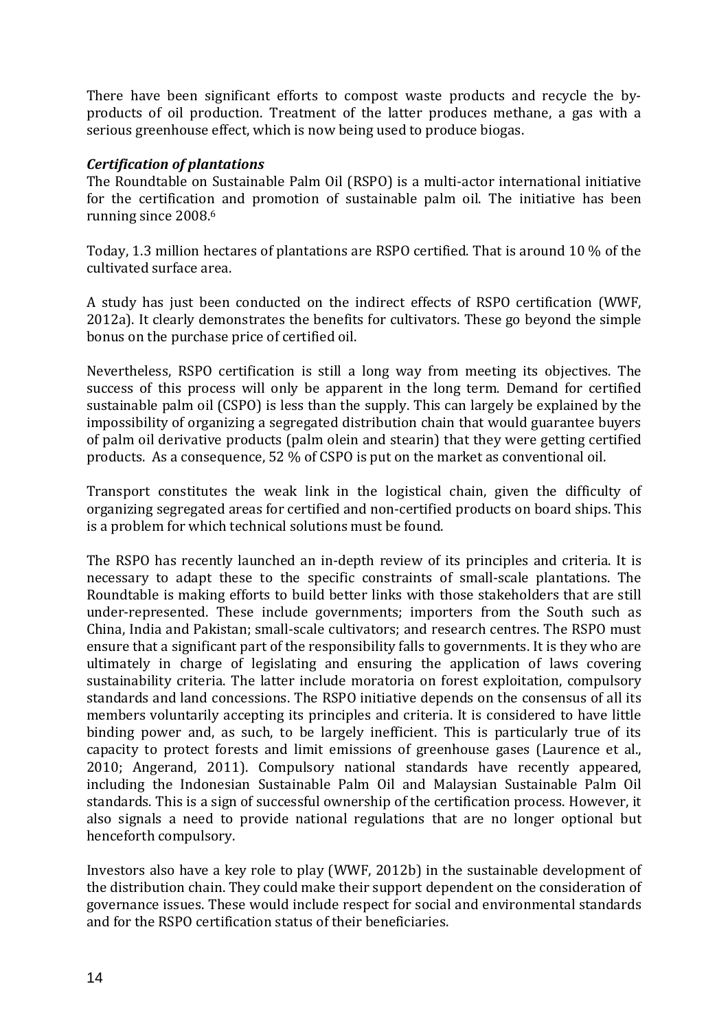There have been significant efforts to compost waste products and recycle the byproducts of oil production. Treatment of the latter produces methane, a gas with a serious greenhouse effect, which is now being used to produce biogas.

### *Certification of plantations*

The Roundtable on Sustainable Palm Oil (RSPO) is a multi-actor international initiative for the certification and promotion of sustainable palm oil. The initiative has been running since 2008.<sup>6</sup>

Today, 1.3 million hectares of plantations are RSPO certified. That is around 10 % of the cultivated surface area.

A study has just been conducted on the indirect effects of RSPO certification (WWF, 2012a). It clearly demonstrates the benefits for cultivators. These go beyond the simple bonus on the purchase price of certified oil.

Nevertheless, RSPO certification is still a long way from meeting its objectives. The success of this process will only be apparent in the long term. Demand for certified sustainable palm oil (CSPO) is less than the supply. This can largely be explained by the impossibility of organizing a segregated distribution chain that would guarantee buyers of palm oil derivative products (palm olein and stearin) that they were getting certified products. As a consequence, 52 % of CSPO is put on the market as conventional oil.

Transport constitutes the weak link in the logistical chain, given the difficulty of organizing segregated areas for certified and non-certified products on board ships. This is a problem for which technical solutions must be found.

The RSPO has recently launched an in-depth review of its principles and criteria. It is necessary to adapt these to the specific constraints of small-scale plantations. The Roundtable is making efforts to build better links with those stakeholders that are still under-represented. These include governments; importers from the South such as China, India and Pakistan; small-scale cultivators; and research centres. The RSPO must ensure that a significant part of the responsibility falls to governments. It is they who are ultimately in charge of legislating and ensuring the application of laws covering sustainability criteria. The latter include moratoria on forest exploitation, compulsory standards and land concessions. The RSPO initiative depends on the consensus of all its members voluntarily accepting its principles and criteria. It is considered to have little binding power and, as such, to be largely inefficient. This is particularly true of its capacity to protect forests and limit emissions of greenhouse gases (Laurence et al., 2010; Angerand, 2011). Compulsory national standards have recently appeared, including the Indonesian Sustainable Palm Oil and Malaysian Sustainable Palm Oil standards. This is a sign of successful ownership of the certification process. However, it also signals a need to provide national regulations that are no longer optional but henceforth compulsory.

Investors also have a key role to play (WWF, 2012b) in the sustainable development of the distribution chain. They could make their support dependent on the consideration of governance issues. These would include respect for social and environmental standards and for the RSPO certification status of their beneficiaries.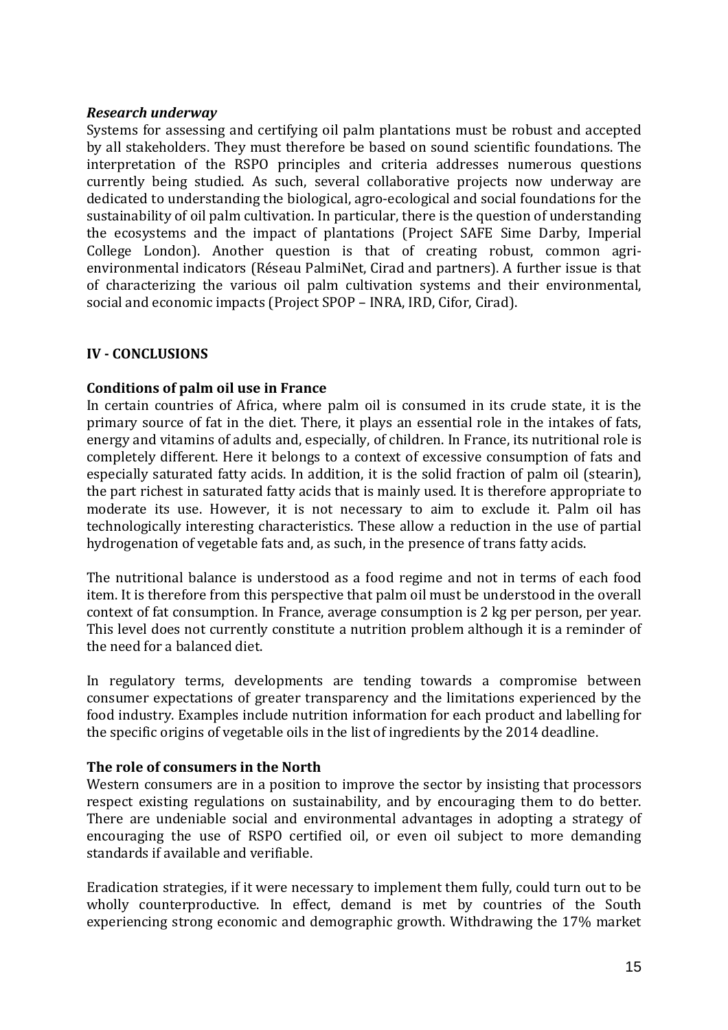### *Research underway*

Systems for assessing and certifying oil palm plantations must be robust and accepted by all stakeholders. They must therefore be based on sound scientific foundations. The interpretation of the RSPO principles and criteria addresses numerous questions currently being studied. As such, several collaborative projects now underway are dedicated to understanding the biological, agro-ecological and social foundations for the sustainability of oil palm cultivation. In particular, there is the question of understanding the ecosystems and the impact of plantations (Project SAFE Sime Darby, Imperial College London). Another question is that of creating robust, common agrienvironmental indicators (Réseau PalmiNet, Cirad and partners). A further issue is that of characterizing the various oil palm cultivation systems and their environmental, social and economic impacts (Project SPOP – INRA, IRD, Cifor, Cirad).

#### **IV - CONCLUSIONS**

#### **Conditions of palm oil use in France**

In certain countries of Africa, where palm oil is consumed in its crude state, it is the primary source of fat in the diet. There, it plays an essential role in the intakes of fats, energy and vitamins of adults and, especially, of children. In France, its nutritional role is completely different. Here it belongs to a context of excessive consumption of fats and especially saturated fatty acids. In addition, it is the solid fraction of palm oil (stearin), the part richest in saturated fatty acids that is mainly used. It is therefore appropriate to moderate its use. However, it is not necessary to aim to exclude it. Palm oil has technologically interesting characteristics. These allow a reduction in the use of partial hydrogenation of vegetable fats and, as such, in the presence of trans fatty acids.

The nutritional balance is understood as a food regime and not in terms of each food item. It is therefore from this perspective that palm oil must be understood in the overall context of fat consumption. In France, average consumption is 2 kg per person, per year. This level does not currently constitute a nutrition problem although it is a reminder of the need for a balanced diet.

In regulatory terms, developments are tending towards a compromise between consumer expectations of greater transparency and the limitations experienced by the food industry. Examples include nutrition information for each product and labelling for the specific origins of vegetable oils in the list of ingredients by the 2014 deadline.

### **The role of consumers in the North**

Western consumers are in a position to improve the sector by insisting that processors respect existing regulations on sustainability, and by encouraging them to do better. There are undeniable social and environmental advantages in adopting a strategy of encouraging the use of RSPO certified oil, or even oil subject to more demanding standards if available and verifiable.

Eradication strategies, if it were necessary to implement them fully, could turn out to be wholly counterproductive. In effect, demand is met by countries of the South experiencing strong economic and demographic growth. Withdrawing the 17% market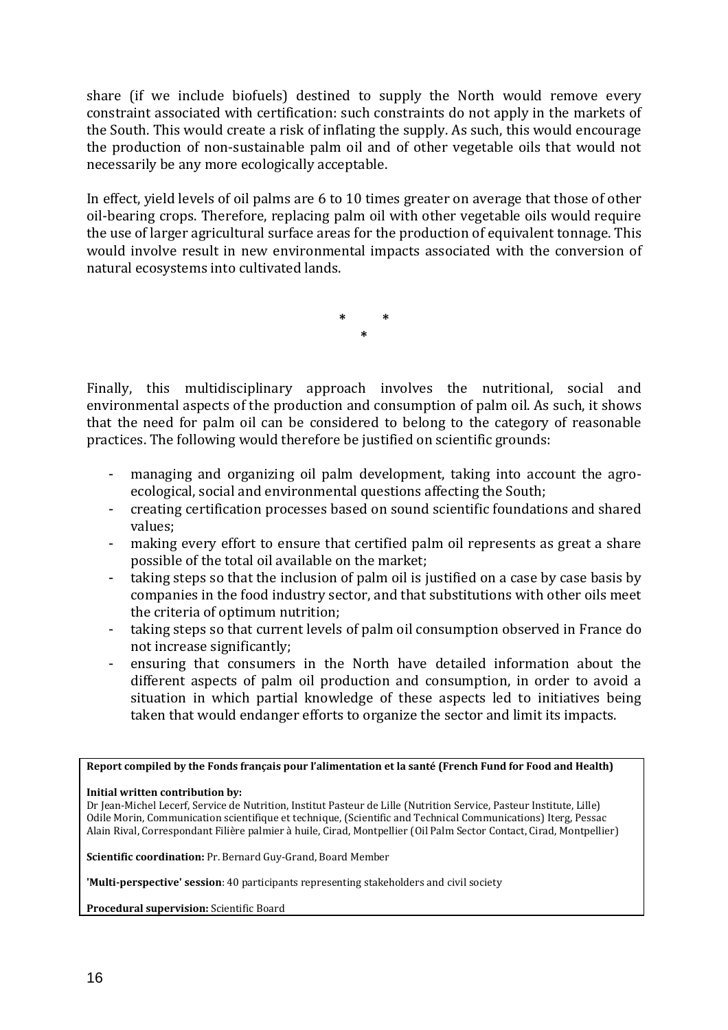share (if we include biofuels) destined to supply the North would remove every constraint associated with certification: such constraints do not apply in the markets of the South. This would create a risk of inflating the supply. As such, this would encourage the production of non-sustainable palm oil and of other vegetable oils that would not necessarily be any more ecologically acceptable.

In effect, yield levels of oil palms are 6 to 10 times greater on average that those of other oil-bearing crops. Therefore, replacing palm oil with other vegetable oils would require the use of larger agricultural surface areas for the production of equivalent tonnage. This would involve result in new environmental impacts associated with the conversion of natural ecosystems into cultivated lands.

> **\* \* \***

Finally, this multidisciplinary approach involves the nutritional, social and environmental aspects of the production and consumption of palm oil. As such, it shows that the need for palm oil can be considered to belong to the category of reasonable practices. The following would therefore be justified on scientific grounds:

- managing and organizing oil palm development, taking into account the agroecological, social and environmental questions affecting the South;
- creating certification processes based on sound scientific foundations and shared values;
- making every effort to ensure that certified palm oil represents as great a share possible of the total oil available on the market;
- taking steps so that the inclusion of palm oil is justified on a case by case basis by companies in the food industry sector, and that substitutions with other oils meet the criteria of optimum nutrition;
- taking steps so that current levels of palm oil consumption observed in France do not increase significantly;
- ensuring that consumers in the North have detailed information about the different aspects of palm oil production and consumption, in order to avoid a situation in which partial knowledge of these aspects led to initiatives being taken that would endanger efforts to organize the sector and limit its impacts.

**Report compiled by the Fonds français pour l'alimentation et la santé (French Fund for Food and Health)** 

**Initial written contribution by:** 

Dr Jean-Michel Lecerf, Service de Nutrition, Institut Pasteur de Lille (Nutrition Service, Pasteur Institute, Lille) Odile Morin, Communication scientifique et technique, (Scientific and Technical Communications) Iterg, Pessac Alain Rival, Correspondant Filière palmier à huile, Cirad, Montpellier (Oil Palm Sector Contact, Cirad, Montpellier)

**Scientific coordination:** Pr. Bernard Guy-Grand, Board Member

**'Multi-perspective' session**: 40 participants representing stakeholders and civil society

**Procedural supervision:** Scientific Board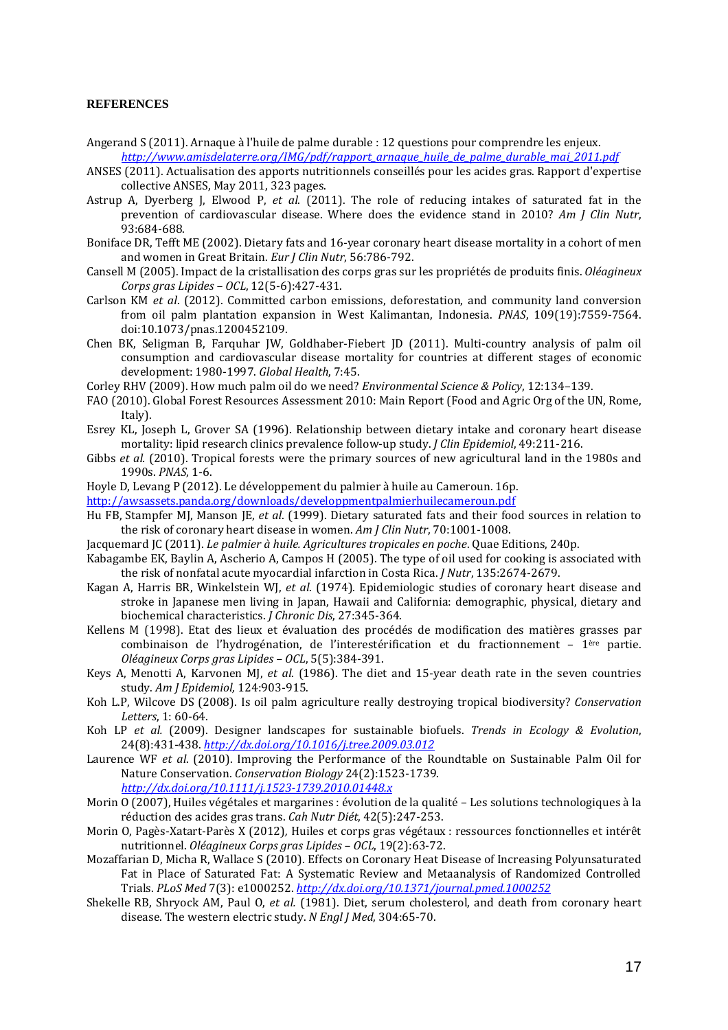#### **REFERENCES**

- Angerand S (2011). Arnaque à l'huile de palme durable : 12 questions pour comprendre les enjeux. *http://www.amisdelaterre.org/IMG/pdf/rapport\_arnaque\_huile\_de\_palme\_durable\_mai\_2011.pdf*
- ANSES (2011). Actualisation des apports nutritionnels conseillés pour les acides gras. Rapport d'expertise collective ANSES, May 2011, 323 pages.
- Astrup A, Dyerberg J, Elwood P, *et al*. (2011). The role of reducing intakes of saturated fat in the prevention of cardiovascular disease. Where does the evidence stand in 2010? *Am J Clin Nutr*, 93:684-688.
- Boniface DR, Tefft ME (2002). Dietary fats and 16-year coronary heart disease mortality in a cohort of men and women in Great Britain. *Eur J Clin Nutr*, 56:786-792.
- Cansell M (2005). Impact de la cristallisation des corps gras sur les propriétés de produits finis. *Oléagineux Corps gras Lipides – OCL*, 12(5-6):427-431.
- Carlson KM *et al*. (2012). Committed carbon emissions, deforestation, and community land conversion from oil palm plantation expansion in West Kalimantan, Indonesia. *PNAS*, 109(19):7559-7564. doi:10.1073/pnas.1200452109.
- Chen BK, Seligman B, Farquhar JW, Goldhaber-Fiebert JD (2011). Multi-country analysis of palm oil consumption and cardiovascular disease mortality for countries at different stages of economic development: 1980-1997. *Global Health*, 7:45.
- Corley RHV (2009). How much palm oil do we need? *Environmental Science & Policy*, 12:134–139.
- FAO (2010). Global Forest Resources Assessment 2010: Main Report (Food and Agric Org of the UN, Rome, Italy).
- Esrey KL, Joseph L, Grover SA (1996). Relationship between dietary intake and coronary heart disease mortality: lipid research clinics prevalence follow-up study. *J Clin Epidemiol*, 49:211-216.
- Gibbs *et al.* (2010). Tropical forests were the primary sources of new agricultural land in the 1980s and 1990s. *PNAS*, 1-6.
- Hoyle D, Levang P (2012). Le développement du palmier à huile au Cameroun. 16p.
- http://awsassets.panda.org/downloads/developpmentpalmierhuilecameroun.pdf
- Hu FB, Stampfer MJ, Manson JE, *et al*. (1999). Dietary saturated fats and their food sources in relation to the risk of coronary heart disease in women. *Am J Clin Nutr*, 70:1001-1008.
- Jacquemard JC (2011). *Le palmier à huile. Agricultures tropicales en poche*. Quae Editions, 240p.
- Kabagambe EK, Baylin A, Ascherio A, Campos H (2005). The type of oil used for cooking is associated with the risk of nonfatal acute myocardial infarction in Costa Rica. *J Nutr*, 135:2674-2679.
- Kagan A, Harris BR, Winkelstein WJ, *et al*. (1974). Epidemiologic studies of coronary heart disease and stroke in Japanese men living in Japan, Hawaii and California: demographic, physical, dietary and biochemical characteristics. *J Chronic Dis*, 27:345-364.
- Kellens M (1998). Etat des lieux et évaluation des procédés de modification des matières grasses par combinaison de l'hydrogénation, de l'interestérification et du fractionnement – 1ère partie. *Oléagineux Corps gras Lipides – OCL*, 5(5):384-391.
- Keys A, Menotti A, Karvonen MJ, *et al*. (1986). The diet and 15-year death rate in the seven countries study. *Am J Epidemiol,* 124:903-915.
- Koh L.P, Wilcove DS (2008). Is oil palm agriculture really destroying tropical biodiversity? *Conservation Letters*, 1: 60-64.
- Koh LP *et al.* (2009). Designer landscapes for sustainable biofuels. *Trends in Ecology & Evolution*, 24(8):431-438. *http://dx.doi.org/10.1016/j.tree.2009.03.012*
- Laurence WF *et al*. (2010). Improving the Performance of the Roundtable on Sustainable Palm Oil for Nature Conservation. *Conservation Biology* 24(2):1523-1739. *http://dx.doi.org/10.1111/j.1523-1739.2010.01448.x*
- Morin O (2007), Huiles végétales et margarines : évolution de la qualité Les solutions technologiques à la réduction des acides gras trans. *Cah Nutr Diét*, 42(5):247-253.
- Morin O, Pagès-Xatart-Parès X (2012)*,* Huiles et corps gras végétaux : ressources fonctionnelles et intérêt nutritionnel. *Oléagineux Corps gras Lipides – OCL*, 19(2):63-72.
- Mozaffarian D, Micha R, Wallace S (2010). Effects on Coronary Heat Disease of Increasing Polyunsaturated Fat in Place of Saturated Fat: A Systematic Review and Metaanalysis of Randomized Controlled Trials. *PLoS Med* 7(3): e1000252. *http://dx.doi.org/10.1371/journal.pmed.1000252*
- Shekelle RB, Shryock AM, Paul O, *et al.* (1981). Diet, serum cholesterol, and death from coronary heart disease. The western electric study. *N Engl J Med*, 304:65-70.